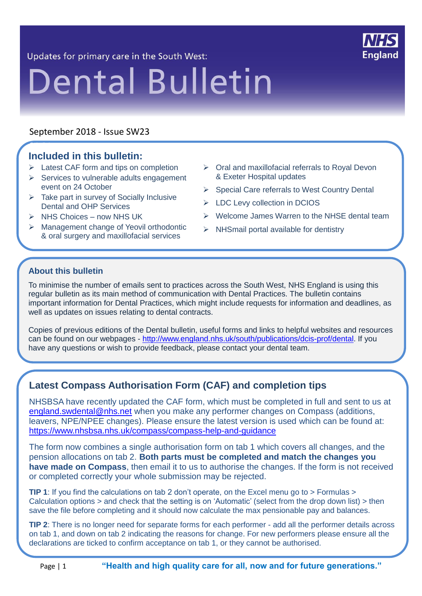Updates for primary care in the South West:



#### September 2018 - Issue SW23

#### **Included in this bulletin:**  $\overline{\phantom{a}}$

- $\triangleright$  Latest CAF form and tips on completion
- $\triangleright$  Services to vulnerable adults engagement event on 24 October
- $\triangleright$  Take part in survey of Socially Inclusive Dental and OHP Services
- $\triangleright$  NHS Choices now NHS UK
- Management change of Yeovil orthodontic & oral surgery and maxillofacial services
- $\triangleright$  Oral and maxillofacial referrals to Royal Devon & Exeter Hospital updates
- $\triangleright$  Special Care referrals to West Country Dental
- > LDC Levy collection in DCIOS
- $\triangleright$  Welcome James Warren to the NHSE dental team
- $\triangleright$  NHSmail portal available for dentistry

#### **About this bulletin**

To minimise the number of emails sent to practices across the South West, NHS England is using this regular bulletin as its main method of communication with Dental Practices. The bulletin contains important information for Dental Practices, which might include requests for information and deadlines, as well as updates on issues relating to dental contracts.

Copies of previous editions of the Dental bulletin, useful forms and links to helpful websites and resources can be found on our webpages - [http://www.england.nhs.uk/south/publications/dcis-prof/dental.](http://www.england.nhs.uk/south/publications/dcis-prof/dental) If you have any questions or wish to provide feedback, please contact your dental team.

#### **Latest Compass Authorisation Form (CAF) and completion tips**

NHSBSA have recently updated the CAF form, which must be completed in full and sent to us at [england.swdental@nhs.net](mailto:england.swdental@nhs.net) when you make any performer changes on Compass (additions, leavers, NPE/NPEE changes). Please ensure the latest version is used which can be found at: <https://www.nhsbsa.nhs.uk/compass/compass-help-and-guidance>

The form now combines a single authorisation form on tab 1 which covers all changes, and the pension allocations on tab 2. **Both parts must be completed and match the changes you have made on Compass**, then email it to us to authorise the changes. If the form is not received or completed correctly your whole submission may be rejected.

**TIP 1**: If you find the calculations on tab 2 don't operate, on the Excel menu go to > Formulas > Calculation options > and check that the setting is on 'Automatic' (select from the drop down list) > then save the file before completing and it should now calculate the max pensionable pay and balances.

**TIP 2**: There is no longer need for separate forms for each performer - add all the performer details across on tab 1, and down on tab 2 indicating the reasons for change. For new performers please ensure all the declarations are ticked to confirm acceptance on tab 1, or they cannot be authorised.

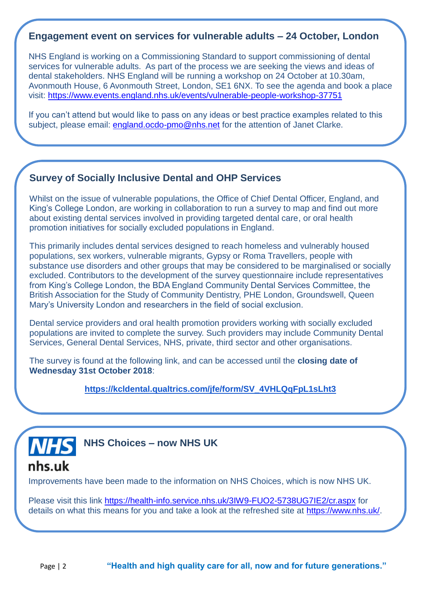#### **Engagement event on services for vulnerable adults – 24 October, London**

NHS England is working on a Commissioning Standard to support commissioning of dental services for vulnerable adults. As part of the process we are seeking the views and ideas of dental stakeholders. NHS England will be running a workshop on 24 October at 10.30am, Avonmouth House, 6 Avonmouth Street, London, SE1 6NX. To see the agenda and book a place visit: <https://www.events.england.nhs.uk/events/vulnerable-people-workshop-37751>

If you can't attend but would like to pass on any ideas or best practice examples related to this subject, please email: [england.ocdo-pmo@nhs.net](mailto:england.ocdo-pmo@nhs.net) for the attention of Janet Clarke.

#### **Survey of Socially Inclusive Dental and OHP Services**

Whilst on the issue of vulnerable populations, the Office of Chief Dental Officer, England, and King's College London, are working in collaboration to run a survey to map and find out more about existing dental services involved in providing targeted dental care, or oral health promotion initiatives for socially excluded populations in England.

This primarily includes dental services designed to reach homeless and vulnerably housed populations, sex workers, vulnerable migrants, Gypsy or Roma Travellers, people with substance use disorders and other groups that may be considered to be marginalised or socially excluded. Contributors to the development of the survey questionnaire include representatives from King's College London, the BDA England Community Dental Services Committee, the British Association for the Study of Community Dentistry, PHE London, Groundswell, Queen Mary's University London and researchers in the field of social exclusion.

Dental service providers and oral health promotion providers working with socially excluded populations are invited to complete the survey. Such providers may include Community Dental Services, General Dental Services, NHS, private, third sector and other organisations.

The survey is found at the following link, and can be accessed until the **closing date of Wednesday 31st October 2018**:

**[https://kcldental.qualtrics.com/jfe/form/SV\\_4VHLQqFpL1sLht3](https://kcldental.qualtrics.com/jfe/form/SV_4VHLQqFpL1sLht3)**



**NHS Choices – now NHS UK**

## nhs.uk

Improvements have been made to the information on NHS Choices, which is now NHS UK.

Please visit this link<https://health-info.service.nhs.uk/3IW9-FUO2-5738UG7IE2/cr.aspx> for details on what this means for you and take a look at the refreshed site at [https://www.nhs.uk/.](https://www.nhs.uk/)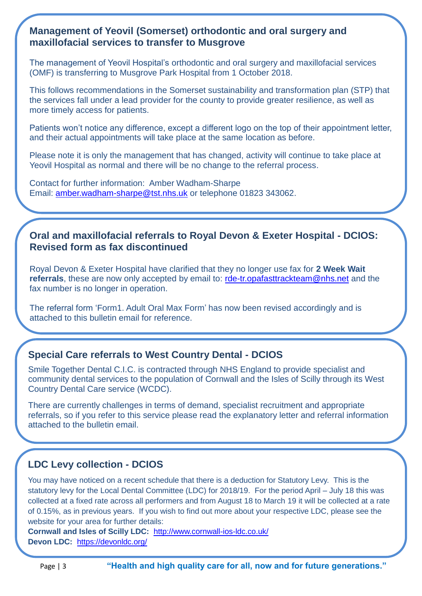#### **Management of Yeovil (Somerset) orthodontic and oral surgery and maxillofacial services to transfer to Musgrove**

The management of Yeovil Hospital's orthodontic and oral surgery and maxillofacial services (OMF) is transferring to Musgrove Park Hospital from 1 October 2018.

This follows recommendations in the Somerset sustainability and transformation plan (STP) that the services fall under a lead provider for the county to provide greater resilience, as well as more timely access for patients.

Patients won't notice any difference, except a different logo on the top of their appointment letter, and their actual appointments will take place at the same location as before.

Please note it is only the management that has changed, activity will continue to take place at Yeovil Hospital as normal and there will be no change to the referral process.

Contact for further information: Amber Wadham-Sharpe Email: [amber.wadham-sharpe@tst.nhs.uk](mailto:amber.wadham-sharpe@tst.nhs.uk) or telephone 01823 343062.

#### **Oral and maxillofacial referrals to Royal Devon & Exeter Hospital - DCIOS: Revised form as fax discontinued**

Royal Devon & Exeter Hospital have clarified that they no longer use fax for **2 Week Wait referrals**, these are now only accepted by email to: [rde-tr.opafasttrackteam@nhs.net](mailto:rde-tr.opafasttrackteam@nhs.net) and the fax number is no longer in operation.

The referral form 'Form1. Adult Oral Max Form' has now been revised accordingly and is attached to this bulletin email for reference.

## **Special Care referrals to West Country Dental - DCIOS**

Smile Together Dental C.I.C. is contracted through NHS England to provide specialist and community dental services to the population of Cornwall and the Isles of Scilly through its West Country Dental Care service (WCDC).

There are currently challenges in terms of demand, specialist recruitment and appropriate referrals, so if you refer to this service please read the explanatory letter and referral information attached to the bulletin email.

## **LDC Levy collection - DCIOS**

You may have noticed on a recent schedule that there is a deduction for Statutory Levy. This is the statutory levy for the Local Dental Committee (LDC) for 2018/19. For the period April – July 18 this was collected at a fixed rate across all performers and from August 18 to March 19 it will be collected at a rate of 0.15%, as in previous years. If you wish to find out more about your respective LDC, please see the website for your area for further details:

**Cornwall and Isles of Scilly LDC:** <http://www.cornwall-ios-ldc.co.uk/> **Devon LDC:** <https://devonldc.org/>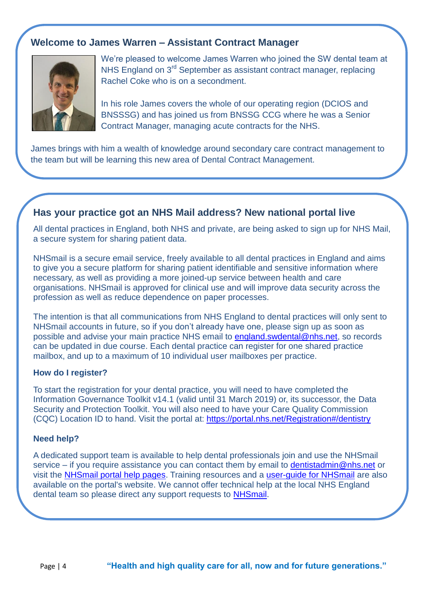## **Welcome to James Warren – Assistant Contract Manager**



We're pleased to welcome James Warren who joined the SW dental team at NHS England on 3<sup>rd</sup> September as assistant contract manager, replacing Rachel Coke who is on a secondment.

In his role James covers the whole of our operating region (DCIOS and BNSSSG) and has joined us from BNSSG CCG where he was a Senior Contract Manager, managing acute contracts for the NHS.

James brings with him a wealth of knowledge around secondary care contract management to the team but will be learning this new area of Dental Contract Management.

#### **Has your practice got an NHS Mail address? New national portal live**

All dental practices in England, both NHS and private, are being asked to sign up for NHS Mail, a secure system for sharing patient data.

NHSmail is a secure email service, freely available to all dental practices in England and aims to give you a secure platform for sharing patient identifiable and sensitive information where necessary, as well as providing a more joined-up service between health and care organisations. NHSmail is approved for clinical use and will improve data security across the profession as well as reduce dependence on paper processes.

The intention is that all communications from NHS England to dental practices will only sent to NHSmail accounts in future, so if you don't already have one, please sign up as soon as possible and advise your main practice NHS email to [england.swdental@nhs.net,](mailto:england.swdental@nhs.net) so records can be updated in due course. Each dental practice can register for one shared practice mailbox, and up to a maximum of 10 individual user mailboxes per practice.

#### **How do I register?**

To start the registration for your dental practice, you will need to have completed the Information Governance Toolkit v14.1 (valid until 31 March 2019) or, its successor, the [Data](https://www.dsptoolkit.nhs.uk/)  [Security and Protection Toolkit.](https://www.dsptoolkit.nhs.uk/) You will also need to have your Care Quality Commission (CQC) Location ID to hand. Visit the portal at:<https://portal.nhs.net/Registration#/dentistry>

#### **Need help?**

A dedicated support team is available to help dental professionals join and use the NHSmail service – if you require assistance you can contact them by email to [dentistadmin@nhs.net](mailto:dentistadmin@nhs.net) or visit the [NHSmail portal help pages.](https://portal.nhs.net/Help/) Training resources and a [user-guide for NHSmail](https://s3-eu-west-1.amazonaws.com/comms-mat/Training-Materials/Guidance/HowtocompletetheNHSmailDentistryRegistrationPortal.pdf) are also available on the portal's website. We cannot offer technical help at the local NHS England dental team so please direct any support requests to [NHSmail.](mailto:dentistadmin@nhs.net)